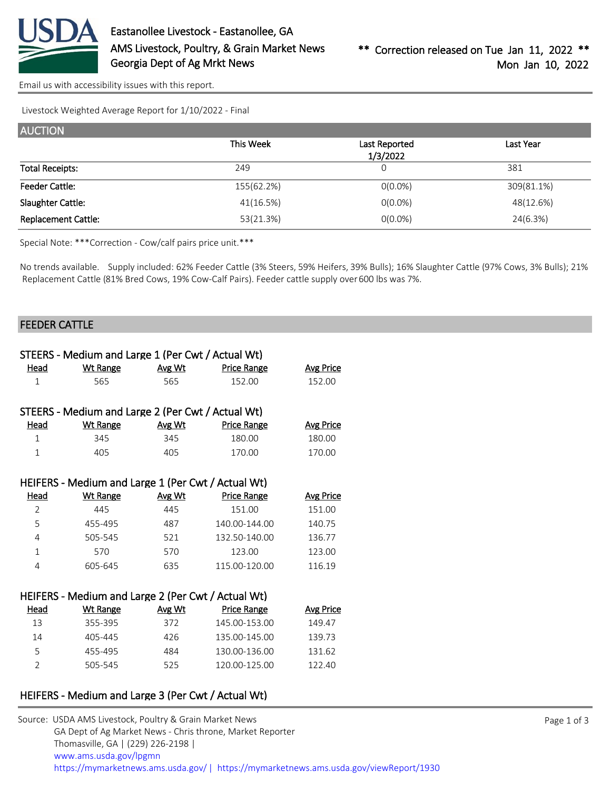

[Email us with accessibility issues with this report.](mailto:mars@ams.usda.gov?subject=508%20issue)

Livestock Weighted Average Report for 1/10/2022 - Final

| <b>AUCTION</b>             |            |               |            |
|----------------------------|------------|---------------|------------|
|                            | This Week  | Last Reported | Last Year  |
|                            |            | 1/3/2022      |            |
| <b>Total Receipts:</b>     | 249        | 0             | 381        |
| <b>Feeder Cattle:</b>      | 155(62.2%) | $O(0.0\%)$    | 309(81.1%) |
| Slaughter Cattle:          | 41(16.5%)  | $O(0.0\%)$    | 48(12.6%)  |
| <b>Replacement Cattle:</b> | 53(21.3%)  | $O(0.0\%)$    | 24(6.3%)   |

Special Note: \*\*\*Correction - Cow/calf pairs price unit.\*\*\*

No trends available. Supply included: 62% Feeder Cattle (3% Steers, 59% Heifers, 39% Bulls); 16% Slaughter Cattle (97% Cows, 3% Bulls); 21% Replacement Cattle (81% Bred Cows, 19% Cow-Calf Pairs). Feeder cattle supply over 600 lbs was 7%.

#### FEEDER CATTLE

| STEERS - Medium and Large 1 (Per Cwt / Actual Wt) |                                                    |        |                    |                  |  |  |  |
|---------------------------------------------------|----------------------------------------------------|--------|--------------------|------------------|--|--|--|
| Head                                              | <b>Wt Range</b>                                    | Avg Wt | <b>Price Range</b> | <b>Avg Price</b> |  |  |  |
| $\mathbf{1}$                                      | 565                                                | 565    | 152.00             | 152.00           |  |  |  |
|                                                   |                                                    |        |                    |                  |  |  |  |
|                                                   | STEERS - Medium and Large 2 (Per Cwt / Actual Wt)  |        |                    |                  |  |  |  |
| Head                                              | <b>Wt Range</b>                                    | Avg Wt | <b>Price Range</b> | <b>Avg Price</b> |  |  |  |
| 1                                                 | 345                                                | 345    | 180.00             | 180.00           |  |  |  |
| $\mathbf{1}$                                      | 405                                                | 405    | 170.00             | 170.00           |  |  |  |
|                                                   |                                                    |        |                    |                  |  |  |  |
|                                                   | HEIFERS - Medium and Large 1 (Per Cwt / Actual Wt) |        |                    |                  |  |  |  |
| Head                                              | <b>Wt Range</b>                                    | Avg Wt | <b>Price Range</b> | <b>Avg Price</b> |  |  |  |
| 2                                                 | 445                                                | 445    | 151.00             | 151.00           |  |  |  |
| 5                                                 | 455-495                                            | 487    | 140.00-144.00      | 140.75           |  |  |  |
| 4                                                 | 505-545                                            | 521    | 132.50-140.00      | 136.77           |  |  |  |
| $\mathbf{1}$                                      | 570                                                | 570    | 123.00             | 123.00           |  |  |  |
| 4                                                 | 605-645                                            | 635    | 115.00-120.00      | 116.19           |  |  |  |
|                                                   |                                                    |        |                    |                  |  |  |  |
|                                                   | HEIFERS - Medium and Large 2 (Per Cwt / Actual Wt) |        |                    |                  |  |  |  |
| Head                                              | <b>Wt Range</b>                                    | Avg Wt | <b>Price Range</b> | <b>Avg Price</b> |  |  |  |
| 13                                                | 355-395                                            | 372    | 145.00-153.00      | 149.47           |  |  |  |
| 14                                                | 405-445                                            | 426    | 135.00-145.00      | 139.73           |  |  |  |
| 5                                                 | 455-495                                            | 484    | 130.00-136.00      | 131.62           |  |  |  |
| $\overline{2}$                                    | 505-545                                            | 525    | 120.00-125.00      | 122.40           |  |  |  |

## HEIFERS - Medium and Large 3 (Per Cwt / Actual Wt)

| Source: USDA AMS Livestock, Poultry & Grain Market News                                |
|----------------------------------------------------------------------------------------|
| GA Dept of Ag Market News - Chris throne, Market Reporter                              |
| Thomasville, GA   (229) 226-2198                                                       |
| www.ams.usda.gov/lpgmn                                                                 |
| https://mymarketnews.ams.usda.gov/   https://mymarketnews.ams.usda.gov/viewReport/1930 |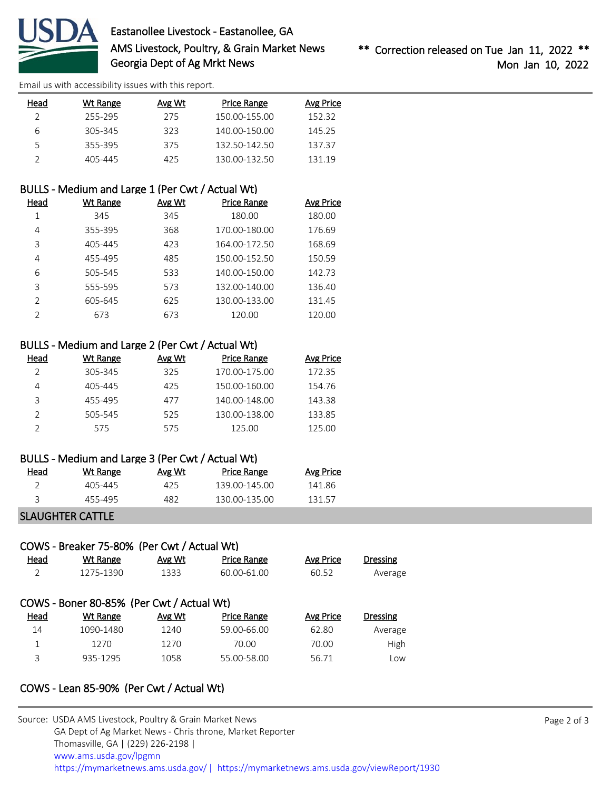

# Eastanollee Livestock - Eastanollee, GA AMS Livestock, Poultry, & Grain Market News Georgia Dept of Ag Mrkt News

[Email us with accessibility issues with this report.](mailto:mars@ams.usda.gov?subject=508%20issue)

| Head | Wt Range | Avg Wt | Price Range   | Avg Price |
|------|----------|--------|---------------|-----------|
|      | 255-295  | 275    | 150.00-155.00 | 152.32    |
| 6    | 305-345  | 323    | 140.00-150.00 | 145.25    |
|      | 355-395  | 375    | 132.50-142.50 | 137.37    |
|      | 405-445  | 425    | 130.00-132.50 | 131.19    |

## BULLS - Medium and Large 1 (Per Cwt / Actual Wt)

| Head          | Wt Range | Avg Wt | <b>Price Range</b> | Avg Price |
|---------------|----------|--------|--------------------|-----------|
|               | 345      | 345    | 180.00             | 180.00    |
| 4             | 355-395  | 368    | 170.00-180.00      | 176.69    |
| 3             | 405-445  | 423    | 164.00-172.50      | 168.69    |
| 4             | 455-495  | 485    | 150.00-152.50      | 150.59    |
| 6             | 505-545  | 533    | 140.00-150.00      | 142.73    |
| ξ             | 555-595  | 573    | 132.00-140.00      | 136.40    |
| $\mathcal{P}$ | 605-645  | 625    | 130.00-133.00      | 131.45    |
| ำ             | 673      | 673    | 120.00             | 120.00    |

# BULLS - Medium and Large 2 (Per Cwt / Actual Wt)

| Head | Wt Range | Avg Wt | <b>Price Range</b> | <b>Avg Price</b> |
|------|----------|--------|--------------------|------------------|
|      | 305-345  | 325    | 170.00-175.00      | 172.35           |
| 4    | 405-445  | 425    | 150.00-160.00      | 154.76           |
| З    | 455-495  | 477    | 140.00-148.00      | 143.38           |
|      | 505-545  | 525    | 130.00-138.00      | 133.85           |
|      | 575      | 575    | 125.00             | 125.00           |

#### BULLS - Medium and Large 3 (Per Cwt / Actual Wt)

| Head | Wt Range | Avg Wt | Price Range   | Avg Price |
|------|----------|--------|---------------|-----------|
|      | 405-445  | 425.   | 139 00-145 00 | 141 86    |
|      | 455-495  | 482    | 130.00-135.00 | 131 57    |

### SLAUGHTER CATTLE

# COWS - Breaker 75-80% (Per Cwt / Actual Wt)

| Head | Wt Range                                  | Avg Wt | <b>Price Range</b> | Avg Price | <b>Dressing</b> |
|------|-------------------------------------------|--------|--------------------|-----------|-----------------|
| 2    | 1275-1390                                 | 1333   | 60.00-61.00        | 60.52     | Average         |
|      |                                           |        |                    |           |                 |
|      | COWS - Boner 80-85% (Per Cwt / Actual Wt) |        |                    |           |                 |
|      |                                           |        |                    |           |                 |
| Head | Wt Range                                  | Avg Wt | <b>Price Range</b> | Avg Price | <b>Dressing</b> |
| 14   | 1090-1480                                 | 1240   | 59.00-66.00        | 62.80     | Average         |
| 1    | 1270                                      | 1270   | 70.00              | 70.00     | High            |

# COWS - Lean 85-90% (Per Cwt / Actual Wt)

| Source: USDA AMS Livestock, Poultry & Grain Market News                               |
|---------------------------------------------------------------------------------------|
| GA Dept of Ag Market News - Chris throne, Market Reporter                             |
| Thomasville, GA   (229) 226-2198                                                      |
| www.ams.usda.gov/lpgmn                                                                |
| https://mymarketnews.ams.usda.gov/  https://mymarketnews.ams.usda.gov/viewReport/1930 |
|                                                                                       |